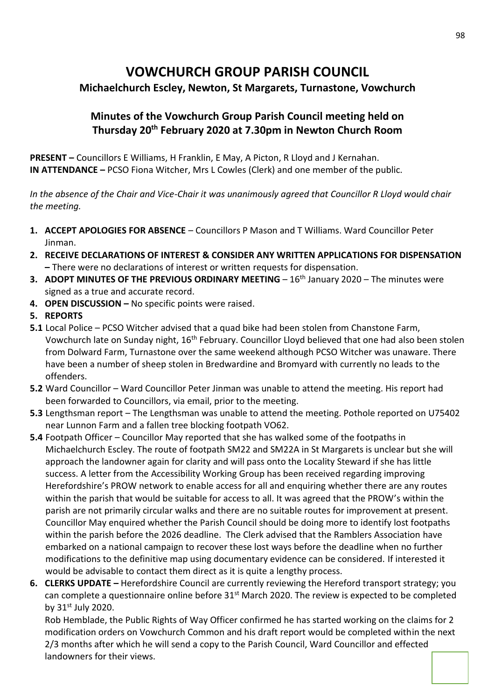# **VOWCHURCH GROUP PARISH COUNCIL**

## **Michaelchurch Escley, Newton, St Margarets, Turnastone, Vowchurch**

## **Minutes of the Vowchurch Group Parish Council meeting held on Thursday 20th February 2020 at 7.30pm in Newton Church Room**

**PRESENT –** Councillors E Williams, H Franklin, E May, A Picton, R Lloyd and J Kernahan. **IN ATTENDANCE –** PCSO Fiona Witcher, Mrs L Cowles (Clerk) and one member of the public.

*In the absence of the Chair and Vice-Chair it was unanimously agreed that Councillor R Lloyd would chair the meeting.*

- **1. ACCEPT APOLOGIES FOR ABSENCE** Councillors P Mason and T Williams. Ward Councillor Peter Jinman.
- **2. RECEIVE DECLARATIONS OF INTEREST & CONSIDER ANY WRITTEN APPLICATIONS FOR DISPENSATION –** There were no declarations of interest or written requests for dispensation.
- **3. ADOPT MINUTES OF THE PREVIOUS ORDINARY MEETING 16<sup>th</sup> January 2020 The minutes were** signed as a true and accurate record.
- **4. OPEN DISCUSSION –** No specific points were raised.
- **5. REPORTS**
- **5.1** Local Police PCSO Witcher advised that a quad bike had been stolen from Chanstone Farm, Vowchurch late on Sunday night, 16<sup>th</sup> February. Councillor Lloyd believed that one had also been stolen from Dolward Farm, Turnastone over the same weekend although PCSO Witcher was unaware. There have been a number of sheep stolen in Bredwardine and Bromyard with currently no leads to the offenders.
- **5.2** Ward Councillor Ward Councillor Peter Jinman was unable to attend the meeting. His report had been forwarded to Councillors, via email, prior to the meeting.
- **5.3** Lengthsman report The Lengthsman was unable to attend the meeting. Pothole reported on U75402 near Lunnon Farm and a fallen tree blocking footpath VO62.
- **5.4** Footpath Officer Councillor May reported that she has walked some of the footpaths in Michaelchurch Escley. The route of footpath SM22 and SM22A in St Margarets is unclear but she will approach the landowner again for clarity and will pass onto the Locality Steward if she has little success. A letter from the Accessibility Working Group has been received regarding improving Herefordshire's PROW network to enable access for all and enquiring whether there are any routes within the parish that would be suitable for access to all. It was agreed that the PROW's within the parish are not primarily circular walks and there are no suitable routes for improvement at present. Councillor May enquired whether the Parish Council should be doing more to identify lost footpaths within the parish before the 2026 deadline. The Clerk advised that the Ramblers Association have embarked on a national campaign to recover these lost ways before the deadline when no further modifications to the definitive map using documentary evidence can be considered. If interested it would be advisable to contact them direct as it is quite a lengthy process.
- **6. CLERKS UPDATE –** Herefordshire Council are currently reviewing the Hereford transport strategy; you can complete a questionnaire online before 31<sup>st</sup> March 2020. The review is expected to be completed by  $31<sup>st</sup>$  July 2020.

Rob Hemblade, the Public Rights of Way Officer confirmed he has started working on the claims for 2 modification orders on Vowchurch Common and his draft report would be completed within the next 2/3 months after which he will send a copy to the Parish Council, Ward Councillor and effected landowners for their views.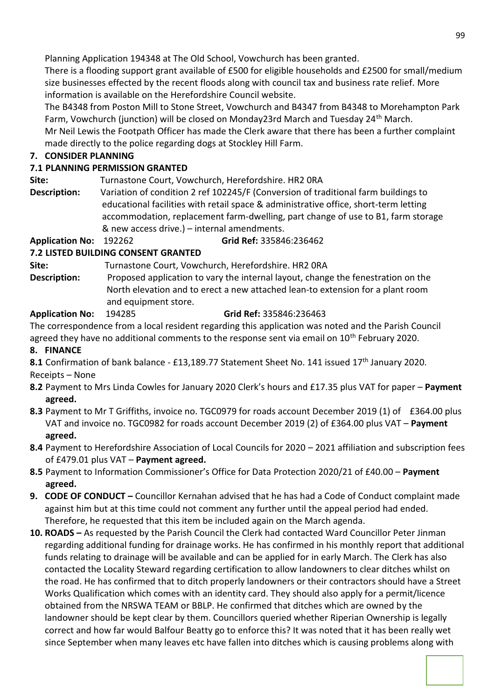Planning Application 194348 at The Old School, Vowchurch has been granted.

There is a flooding support grant available of £500 for eligible households and £2500 for small/medium size businesses effected by the recent floods along with council tax and business rate relief. More information is available on the Herefordshire Council website.

The B4348 from Poston Mill to Stone Street, Vowchurch and B4347 from B4348 to Morehampton Park Farm, Vowchurch (junction) will be closed on Monday23rd March and Tuesday 24<sup>th</sup> March. Mr Neil Lewis the Footpath Officer has made the Clerk aware that there has been a further complaint made directly to the police regarding dogs at Stockley Hill Farm.

#### **7. CONSIDER PLANNING**

### **7.1 PLANNING PERMISSION GRANTED**

**Site:** Turnastone Court, Vowchurch, Herefordshire. HR2 0RA

**Description:** Variation of condition 2 ref 102245/F (Conversion of traditional farm buildings to educational facilities with retail space & administrative office, short-term letting accommodation, replacement farm-dwelling, part change of use to B1, farm storage & new access drive.) – internal amendments.

**Application No:** 192262 **Grid Ref:** 335846:236462

### **7.2 LISTED BUILDING CONSENT GRANTED**

**Site:** Turnastone Court, Vowchurch, Herefordshire. HR2 0RA

**Description:** Proposed application to vary the internal layout, change the fenestration on the North elevation and to erect a new attached lean-to extension for a plant room and equipment store.

### **Application No:** 194285 **Grid Ref:** 335846:236463

The correspondence from a local resident regarding this application was noted and the Parish Council agreed they have no additional comments to the response sent via email on  $10^{th}$  February 2020.

### **8. FINANCE**

8.1 Confirmation of bank balance - £13,189.77 Statement Sheet No. 141 issued 17<sup>th</sup> January 2020. Receipts – None

- **8.2** Payment to Mrs Linda Cowles for January 2020 Clerk's hours and £17.35 plus VAT for paper **Payment agreed.**
- **8.3** Payment to Mr T Griffiths, invoice no. TGC0979 for roads account December 2019 (1) of £364.00 plus VAT and invoice no. TGC0982 for roads account December 2019 (2) of £364.00 plus VAT – **Payment agreed.**
- **8.4** Payment to Herefordshire Association of Local Councils for 2020 2021 affiliation and subscription fees of £479.01 plus VAT – **Payment agreed.**
- **8.5** Payment to Information Commissioner's Office for Data Protection 2020/21 of £40.00 **Payment agreed.**
- **9. CODE OF CONDUCT –** Councillor Kernahan advised that he has had a Code of Conduct complaint made against him but at this time could not comment any further until the appeal period had ended. Therefore, he requested that this item be included again on the March agenda.
- **10. ROADS –** As requested by the Parish Council the Clerk had contacted Ward Councillor Peter Jinman regarding additional funding for drainage works. He has confirmed in his monthly report that additional funds relating to drainage will be available and can be applied for in early March. The Clerk has also contacted the Locality Steward regarding certification to allow landowners to clear ditches whilst on the road. He has confirmed that to ditch properly landowners or their contractors should have a Street Works Qualification which comes with an identity card. They should also apply for a permit/licence obtained from the NRSWA TEAM or BBLP. He confirmed that ditches which are owned by the landowner should be kept clear by them. Councillors queried whether Riperian Ownership is legally correct and how far would Balfour Beatty go to enforce this? It was noted that it has been really wet since September when many leaves etc have fallen into ditches which is causing problems along with